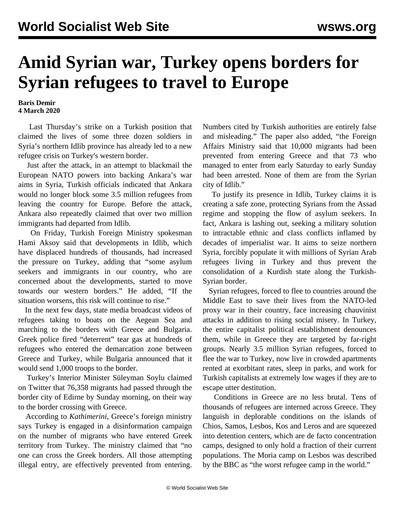## **Amid Syrian war, Turkey opens borders for Syrian refugees to travel to Europe**

## **Baris Demir 4 March 2020**

 Last Thursday's strike on a Turkish position that claimed the lives of some three dozen soldiers in Syria's northern Idlib province has already led to a new refugee crisis on Turkey's western border.

 Just after the attack, in an attempt to blackmail the European NATO powers into backing Ankara's war aims in Syria, Turkish officials indicated that Ankara would no longer block some 3.5 million refugees from leaving the country for Europe. Before the attack, Ankara also repeatedly claimed that over two million immigrants had departed from Idlib.

 On Friday, Turkish Foreign Ministry spokesman Hami Aksoy said that developments in Idlib, which have displaced hundreds of thousands, had increased the pressure on Turkey, adding that "some asylum seekers and immigrants in our country, who are concerned about the developments, started to move towards our western borders." He added, "If the situation worsens, this risk will continue to rise."

 In the next few days, state media broadcast videos of refugees taking to boats on the Aegean Sea and marching to the borders with Greece and Bulgaria. Greek police fired "deterrent" tear gas at hundreds of refugees who entered the demarcation zone between Greece and Turkey, while Bulgaria announced that it would send 1,000 troops to the border.

 Turkey's Interior Minister Süleyman Soylu claimed on Twitter that 76,358 migrants had passed through the border city of Edirne by Sunday morning, on their way to the border crossing with Greece.

 According to *Kathimerini*, Greece's foreign ministry says Turkey is engaged in a disinformation campaign on the number of migrants who have entered Greek territory from Turkey. The ministry claimed that "no one can cross the Greek borders. All those attempting illegal entry, are effectively prevented from entering. Numbers cited by Turkish authorities are entirely false and misleading." The paper also added, "the Foreign Affairs Ministry said that 10,000 migrants had been prevented from entering Greece and that 73 who managed to enter from early Saturday to early Sunday had been arrested. None of them are from the Syrian city of Idlib."

 To justify its presence in Idlib, Turkey claims it is creating a safe zone, protecting Syrians from the Assad regime and stopping the flow of asylum seekers. In fact, Ankara is lashing out, seeking a military solution to intractable ethnic and class conflicts inflamed by decades of imperialist war. It aims to seize northern Syria, forcibly populate it with millions of Syrian Arab refugees living in Turkey and thus prevent the consolidation of a Kurdish state along the Turkish-Syrian border.

 Syrian refugees, forced to flee to countries around the Middle East to save their lives from the NATO-led proxy war in their country, face increasing chauvinist attacks in addition to rising social misery. In Turkey, the entire capitalist political establishment denounces them, while in Greece they are targeted by far-right groups. Nearly 3.5 million Syrian refugees, forced to flee the war to Turkey, now live in crowded apartments rented at exorbitant rates, sleep in parks, and work for Turkish capitalists at extremely low wages if they are to escape utter destitution.

 Conditions in Greece are no less brutal. Tens of thousands of refugees are interned across Greece. They languish in deplorable conditions on the islands of Chios, Samos, Lesbos, Kos and Leros and are squeezed into detention centers, which are de facto concentration camps, designed to only hold a fraction of their current populations. The Moria camp on Lesbos was described by the BBC as "the worst refugee camp in the world."